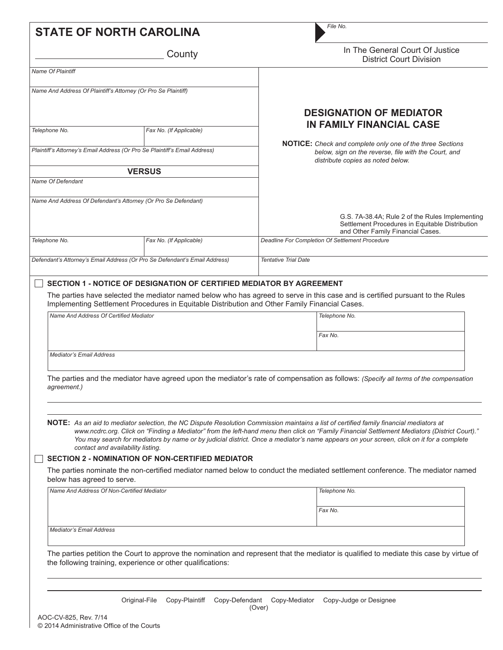|                                        | <b>STATE OF NORTH CAROLINA</b>                                                                 | File No.                                                                                                                                                                                                                                                                                                                                                                                                                           |  |  |  |
|----------------------------------------|------------------------------------------------------------------------------------------------|------------------------------------------------------------------------------------------------------------------------------------------------------------------------------------------------------------------------------------------------------------------------------------------------------------------------------------------------------------------------------------------------------------------------------------|--|--|--|
|                                        | County                                                                                         | In The General Court Of Justice<br><b>District Court Division</b>                                                                                                                                                                                                                                                                                                                                                                  |  |  |  |
| <b>Name Of Plaintiff</b>               |                                                                                                |                                                                                                                                                                                                                                                                                                                                                                                                                                    |  |  |  |
|                                        | Name And Address Of Plaintiff's Attorney (Or Pro Se Plaintiff)                                 |                                                                                                                                                                                                                                                                                                                                                                                                                                    |  |  |  |
|                                        | Fax No. (If Applicable)                                                                        | <b>DESIGNATION OF MEDIATOR</b><br><b>IN FAMILY FINANCIAL CASE</b>                                                                                                                                                                                                                                                                                                                                                                  |  |  |  |
| Telephone No.                          |                                                                                                | NOTICE: Check and complete only one of the three Sections                                                                                                                                                                                                                                                                                                                                                                          |  |  |  |
|                                        | Plaintiff's Attorney's Email Address (Or Pro Se Plaintiff's Email Address)                     | below, sign on the reverse, file with the Court, and<br>distribute copies as noted below.                                                                                                                                                                                                                                                                                                                                          |  |  |  |
|                                        | <b>VERSUS</b>                                                                                  |                                                                                                                                                                                                                                                                                                                                                                                                                                    |  |  |  |
| <b>Name Of Defendant</b>               |                                                                                                |                                                                                                                                                                                                                                                                                                                                                                                                                                    |  |  |  |
|                                        | Name And Address Of Defendant's Attorney (Or Pro Se Defendant)                                 |                                                                                                                                                                                                                                                                                                                                                                                                                                    |  |  |  |
|                                        |                                                                                                | G.S. 7A-38.4A; Rule 2 of the Rules Implementing<br>Settlement Procedures in Equitable Distribution<br>and Other Family Financial Cases.                                                                                                                                                                                                                                                                                            |  |  |  |
| Telephone No.                          | Fax No. (If Applicable)                                                                        | Deadline For Completion Of Settlement Procedure                                                                                                                                                                                                                                                                                                                                                                                    |  |  |  |
|                                        | Defendant's Attorney's Email Address (Or Pro Se Defendant's Email Address)                     | <b>Tentative Trial Date</b>                                                                                                                                                                                                                                                                                                                                                                                                        |  |  |  |
| Name And Address Of Certified Mediator | Implementing Settlement Procedures in Equitable Distribution and Other Family Financial Cases. | Telephone No.                                                                                                                                                                                                                                                                                                                                                                                                                      |  |  |  |
|                                        |                                                                                                | Fax No.                                                                                                                                                                                                                                                                                                                                                                                                                            |  |  |  |
| <b>Mediator's Email Address</b>        |                                                                                                |                                                                                                                                                                                                                                                                                                                                                                                                                                    |  |  |  |
| agreement.)                            |                                                                                                | The parties and the mediator have agreed upon the mediator's rate of compensation as follows: (Specify all terms of the compensation                                                                                                                                                                                                                                                                                               |  |  |  |
|                                        | contact and availability listing.                                                              | NOTE: As an aid to mediator selection, the NC Dispute Resolution Commission maintains a list of certified family financial mediators at<br>www.ncdrc.org. Click on "Finding a Mediator" from the left-hand menu then click on "Family Financial Settlement Mediators (District Court)."<br>You may search for mediators by name or by judicial district. Once a mediator's name appears on your screen, click on it for a complete |  |  |  |
|                                        | <b>SECTION 2 - NOMINATION OF NON-CERTIFIED MEDIATOR</b>                                        |                                                                                                                                                                                                                                                                                                                                                                                                                                    |  |  |  |
| below has agreed to serve.             |                                                                                                | The parties nominate the non-certified mediator named below to conduct the mediated settlement conference. The mediator named                                                                                                                                                                                                                                                                                                      |  |  |  |
|                                        | Name And Address Of Non-Certified Mediator                                                     | Telephone No.                                                                                                                                                                                                                                                                                                                                                                                                                      |  |  |  |
|                                        |                                                                                                | Fax No.                                                                                                                                                                                                                                                                                                                                                                                                                            |  |  |  |
| <b>Mediator's Email Address</b>        |                                                                                                |                                                                                                                                                                                                                                                                                                                                                                                                                                    |  |  |  |
|                                        | the following training, experience or other qualifications:                                    | The parties petition the Court to approve the nomination and represent that the mediator is qualified to mediate this case by virtue of                                                                                                                                                                                                                                                                                            |  |  |  |
|                                        | Copy-Plaintiff<br>Original-File<br>Copy-Defendant                                              | Copy-Mediator<br>Copy-Judge or Designee<br>(Over)                                                                                                                                                                                                                                                                                                                                                                                  |  |  |  |